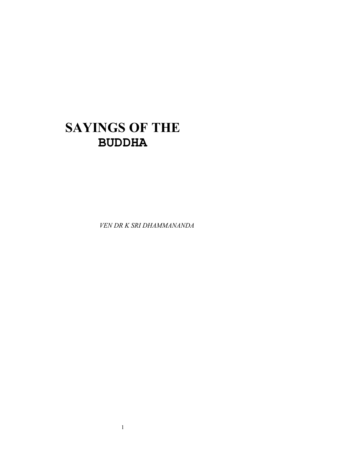# **SAYINGS OF THE BUDDHA**

*VEN DR K SRI DHAMMANANDA*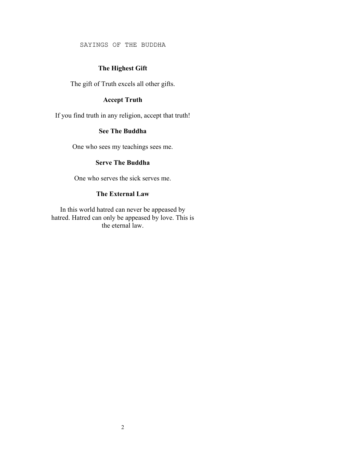SAYINGS OF THE BUDDHA

# **The Highest Gift**

The gift of Truth excels all other gifts.

# **Accept Truth**

If you find truth in any religion, accept that truth!

## **See The Buddha**

One who sees my teachings sees me.

# **Serve The Buddha**

One who serves the sick serves me.

#### **The External Law**

In this world hatred can never be appeased by hatred. Hatred can only be appeased by love. This is the eternal law.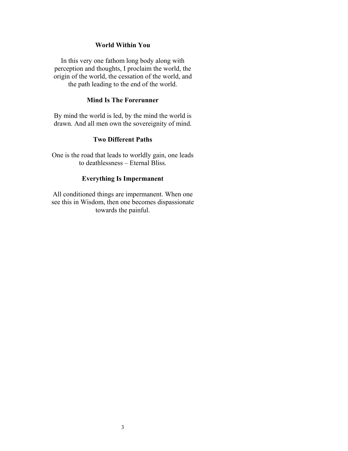#### **World Within You**

In this very one fathom long body along with perception and thoughts, I proclaim the world, the origin of the world, the cessation of the world, and the path leading to the end of the world.

#### **Mind Is The Forerunner**

By mind the world is led, by the mind the world is drawn. And all men own the sovereignity of mind.

## **Two Different Paths**

One is the road that leads to worldly gain, one leads to deathlessness – Eternal Bliss.

# **Everything Is Impermanent**

All conditioned things are impermanent. When one see this in Wisdom, then one becomes dispassionate towards the painful.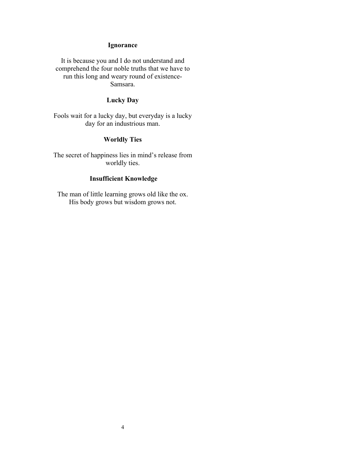# **Ignorance**

It is because you and I do not understand and comprehend the four noble truths that we have to run this long and weary round of existence-Samsara.

# **Lucky Day**

Fools wait for a lucky day, but everyday is a lucky day for an industrious man.

# **Worldly Ties**

The secret of happiness lies in mind's release from worldly ties.

## **Insufficient Knowledge**

The man of little learning grows old like the ox. His body grows but wisdom grows not.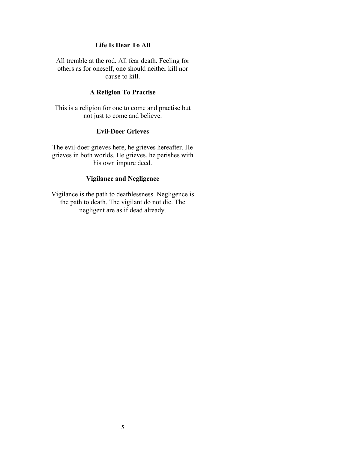# **Life Is Dear To All**

All tremble at the rod. All fear death. Feeling for others as for oneself, one should neither kill nor cause to kill.

## **A Religion To Practise**

This is a religion for one to come and practise but not just to come and believe.

## **Evil-Doer Grieves**

The evil-doer grieves here, he grieves hereafter. He grieves in both worlds. He grieves, he perishes with his own impure deed.

## **Vigilance and Negligence**

Vigilance is the path to deathlessness. Negligence is the path to death. The vigilant do not die. The negligent are as if dead already.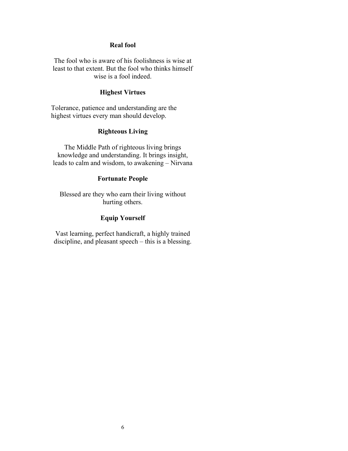#### **Real fool**

The fool who is aware of his foolishness is wise at least to that extent. But the fool who thinks himself wise is a fool indeed.

## **Highest Virtues**

Tolerance, patience and understanding are the highest virtues every man should develop.

## **Righteous Living**

The Middle Path of righteous living brings knowledge and understanding. It brings insight, leads to calm and wisdom, to awakening – Nirvana

## **Fortunate People**

Blessed are they who earn their living without hurting others.

# **Equip Yourself**

Vast learning, perfect handicraft, a highly trained discipline, and pleasant speech – this is a blessing.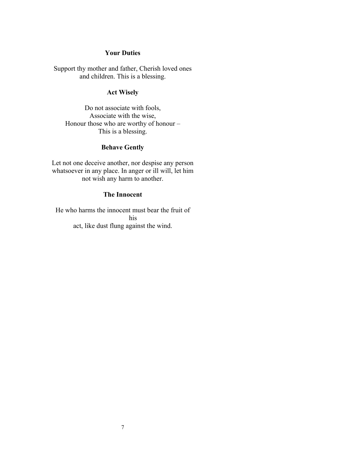## **Your Duties**

Support thy mother and father, Cherish loved ones and children. This is a blessing.

# **Act Wisely**

Do not associate with fools, Associate with the wise, Honour those who are worthy of honour – This is a blessing.

# **Behave Gently**

Let not one deceive another, nor despise any person whatsoever in any place. In anger or ill will, let him not wish any harm to another.

## **The Innocent**

He who harms the innocent must bear the fruit of his act, like dust flung against the wind.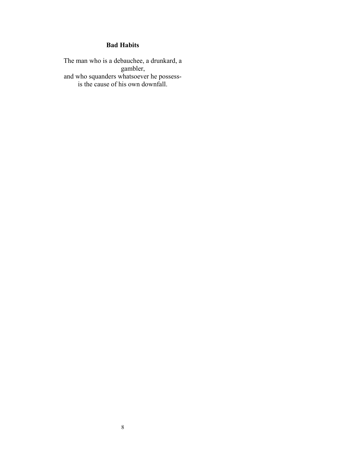# **Bad Habits**

The man who is a debauchee, a drunkard, a gambler, and who squanders whatsoever he possessis the cause of his own downfall.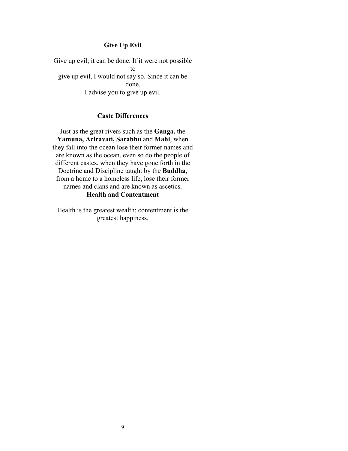# **Give Up Evil**

Give up evil; it can be done. If it were not possible to give up evil, I would not say so. Since it can be done, I advise you to give up evil.

## **Caste Differences**

Just as the great rivers such as the **Ganga,** the **Yamuna, Aciravati, Sarabhu** and **Mahi**, when they fall into the ocean lose their former names and are known as the ocean, even so do the people of different castes, when they have gone forth in the Doctrine and Discipline taught by the **Buddha**, from a home to a homeless life, lose their former names and clans and are known as ascetics. **Health and Contentment** 

Health is the greatest wealth; contentment is the greatest happiness.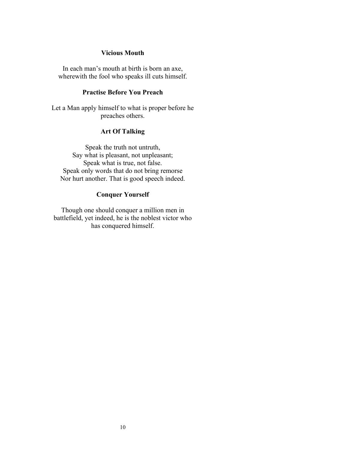## **Vicious Mouth**

In each man's mouth at birth is born an axe, wherewith the fool who speaks ill cuts himself.

## **Practise Before You Preach**

Let a Man apply himself to what is proper before he preaches others.

## **Art Of Talking**

Speak the truth not untruth, Say what is pleasant, not unpleasant; Speak what is true, not false. Speak only words that do not bring remorse Nor hurt another. That is good speech indeed.

## **Conquer Yourself**

Though one should conquer a million men in battlefield, yet indeed, he is the noblest victor who has conquered himself.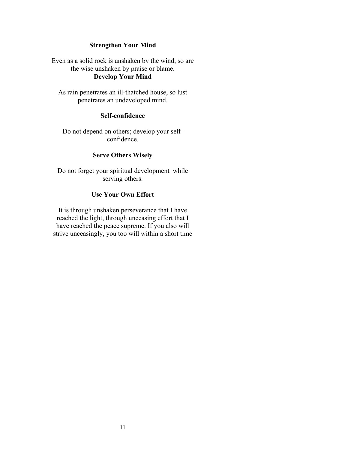#### **Strengthen Your Mind**

Even as a solid rock is unshaken by the wind, so are the wise unshaken by praise or blame. **Develop Your Mind** 

As rain penetrates an ill-thatched house, so lust penetrates an undeveloped mind.

## **Self-confidence**

Do not depend on others; develop your selfconfidence.

## **Serve Others Wisely**

Do not forget your spiritual development while serving others.

#### **Use Your Own Effort**

It is through unshaken perseverance that I have reached the light, through unceasing effort that I have reached the peace supreme. If you also will strive unceasingly, you too will within a short time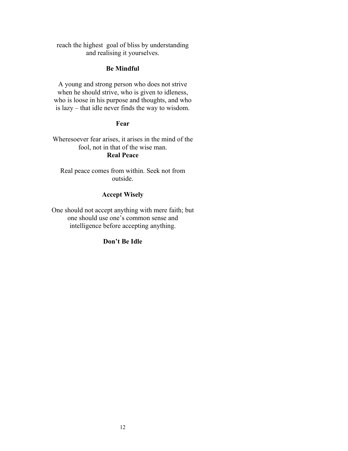reach the highest goal of bliss by understanding and realising it yourselves.

#### **Be Mindful**

A young and strong person who does not strive when he should strive, who is given to idleness, who is loose in his purpose and thoughts, and who is lazy – that idle never finds the way to wisdom.

## **Fear**

Wheresoever fear arises, it arises in the mind of the fool, not in that of the wise man. **Real Peace** 

Real peace comes from within. Seek not from outside.

## **Accept Wisely**

One should not accept anything with mere faith; but one should use one's common sense and intelligence before accepting anything.

# **Don't Be Idle**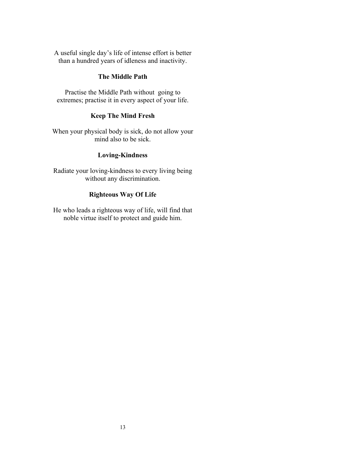A useful single day's life of intense effort is better than a hundred years of idleness and inactivity.

## **The Middle Path**

Practise the Middle Path without going to extremes; practise it in every aspect of your life.

## **Keep The Mind Fresh**

When your physical body is sick, do not allow your mind also to be sick.

# **Loving-Kindness**

Radiate your loving-kindness to every living being without any discrimination.

## **Righteous Way Of Life**

He who leads a righteous way of life, will find that noble virtue itself to protect and guide him.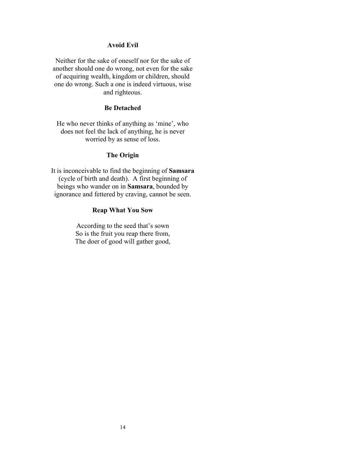#### **Avoid Evil**

Neither for the sake of oneself nor for the sake of another should one do wrong, not even for the sake of acquiring wealth, kingdom or children, should one do wrong. Such a one is indeed virtuous, wise and righteous.

## **Be Detached**

He who never thinks of anything as 'mine', who does not feel the lack of anything, he is never worried by as sense of loss.

#### **The Origin**

It is inconceivable to find the beginning of **Samsara** (cycle of birth and death). A first beginning of beings who wander on in **Samsara**, bounded by ignorance and fettered by craving, cannot be seen.

#### **Reap What You Sow**

According to the seed that's sown So is the fruit you reap there from, The doer of good will gather good,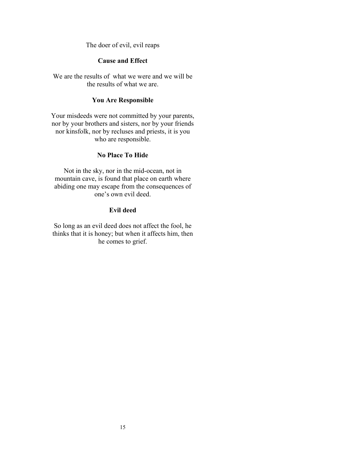The doer of evil, evil reaps

## **Cause and Effect**

We are the results of what we were and we will be the results of what we are.

#### **You Are Responsible**

Your misdeeds were not committed by your parents, nor by your brothers and sisters, nor by your friends nor kinsfolk, nor by recluses and priests, it is you who are responsible.

## **No Place To Hide**

Not in the sky, nor in the mid-ocean, not in mountain cave, is found that place on earth where abiding one may escape from the consequences of one's own evil deed.

## **Evil deed**

So long as an evil deed does not affect the fool, he thinks that it is honey; but when it affects him, then he comes to grief.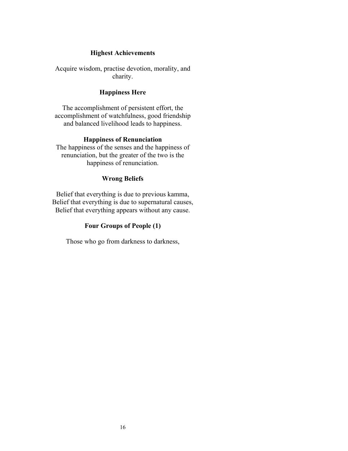#### **Highest Achievements**

Acquire wisdom, practise devotion, morality, and charity.

## **Happiness Here**

The accomplishment of persistent effort, the accomplishment of watchfulness, good friendship and balanced livelihood leads to happiness.

## **Happiness of Renunciation**

The happiness of the senses and the happiness of renunciation, but the greater of the two is the happiness of renunciation.

## **Wrong Beliefs**

Belief that everything is due to previous kamma, Belief that everything is due to supernatural causes, Belief that everything appears without any cause.

## **Four Groups of People (1)**

Those who go from darkness to darkness,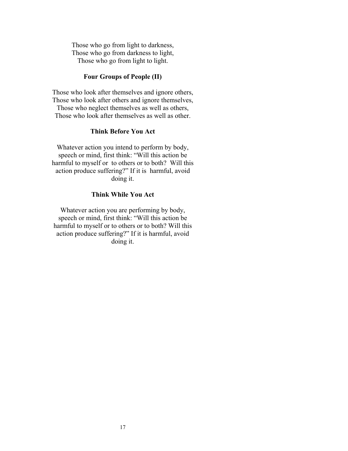Those who go from light to darkness, Those who go from darkness to light, Those who go from light to light.

## **Four Groups of People (II)**

Those who look after themselves and ignore others, Those who look after others and ignore themselves, Those who neglect themselves as well as others, Those who look after themselves as well as other.

#### **Think Before You Act**

Whatever action you intend to perform by body, speech or mind, first think: "Will this action be harmful to myself or to others or to both? Will this action produce suffering?" If it is harmful, avoid doing it.

#### **Think While You Act**

Whatever action you are performing by body, speech or mind, first think: "Will this action be harmful to myself or to others or to both? Will this action produce suffering?" If it is harmful, avoid doing it.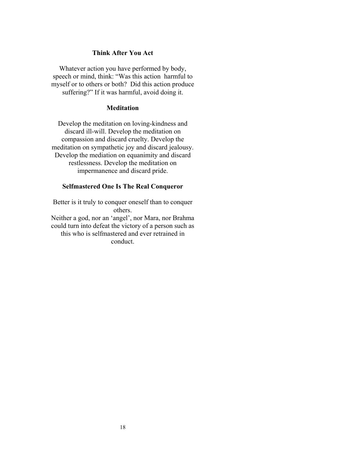#### **Think After You Act**

Whatever action you have performed by body, speech or mind, think: "Was this action harmful to myself or to others or both? Did this action produce suffering?" If it was harmful, avoid doing it.

## **Meditation**

Develop the meditation on loving-kindness and discard ill-will. Develop the meditation on compassion and discard cruelty. Develop the meditation on sympathetic joy and discard jealousy. Develop the mediation on equanimity and discard restlessness. Develop the meditation on impermanence and discard pride.

#### **Selfmastered One Is The Real Conqueror**

Better is it truly to conquer oneself than to conquer others. Neither a god, nor an 'angel', nor Mara, nor Brahma could turn into defeat the victory of a person such as this who is selfmastered and ever retrained in conduct.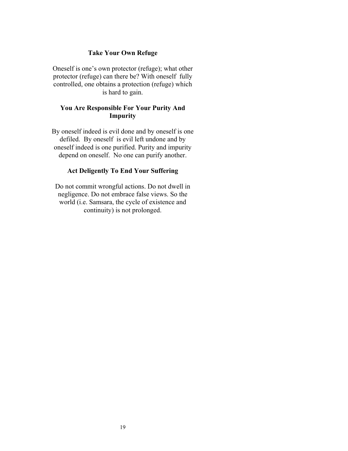#### **Take Your Own Refuge**

Oneself is one's own protector (refuge); what other protector (refuge) can there be? With oneself fully controlled, one obtains a protection (refuge) which is hard to gain.

## **You Are Responsible For Your Purity And Impurity**

By oneself indeed is evil done and by oneself is one defiled. By oneself is evil left undone and by oneself indeed is one purified. Purity and impurity depend on oneself. No one can purify another.

# **Act Deligently To End Your Suffering**

Do not commit wrongful actions. Do not dwell in negligence. Do not embrace false views. So the world (i.e. Samsara, the cycle of existence and continuity) is not prolonged.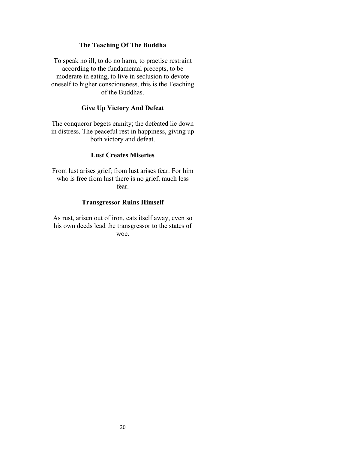#### **The Teaching Of The Buddha**

To speak no ill, to do no harm, to practise restraint according to the fundamental precepts, to be moderate in eating, to live in seclusion to devote oneself to higher consciousness, this is the Teaching of the Buddhas.

#### **Give Up Victory And Defeat**

The conqueror begets enmity; the defeated lie down in distress. The peaceful rest in happiness, giving up both victory and defeat.

## **Lust Creates Miseries**

From lust arises grief; from lust arises fear. For him who is free from lust there is no grief, much less fear.

#### **Transgressor Ruins Himself**

As rust, arisen out of iron, eats itself away, even so his own deeds lead the transgressor to the states of woe.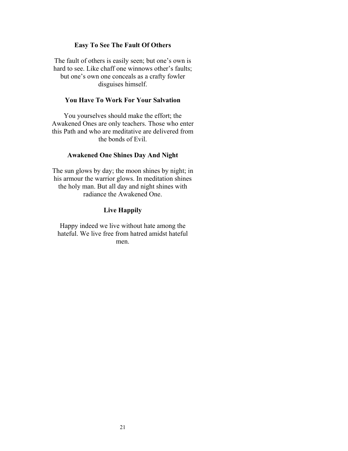#### **Easy To See The Fault Of Others**

The fault of others is easily seen; but one's own is hard to see. Like chaff one winnows other's faults; but one's own one conceals as a crafty fowler disguises himself.

#### **You Have To Work For Your Salvation**

You yourselves should make the effort; the Awakened Ones are only teachers. Those who enter this Path and who are meditative are delivered from the bonds of Evil.

#### **Awakened One Shines Day And Night**

The sun glows by day; the moon shines by night; in his armour the warrior glows. In meditation shines the holy man. But all day and night shines with radiance the Awakened One.

#### **Live Happily**

Happy indeed we live without hate among the hateful. We live free from hatred amidst hateful men.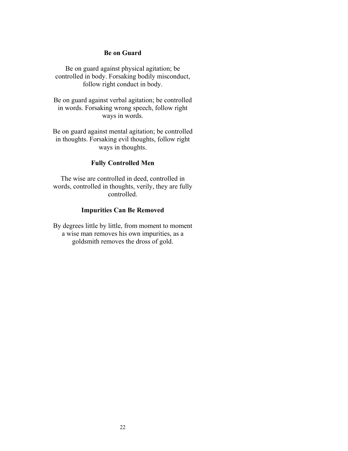#### **Be on Guard**

Be on guard against physical agitation; be controlled in body. Forsaking bodily misconduct, follow right conduct in body.

Be on guard against verbal agitation; be controlled in words. Forsaking wrong speech, follow right ways in words.

Be on guard against mental agitation; be controlled in thoughts. Forsaking evil thoughts, follow right ways in thoughts.

## **Fully Controlled Men**

The wise are controlled in deed, controlled in words, controlled in thoughts, verily, they are fully controlled.

#### **Impurities Can Be Removed**

By degrees little by little, from moment to moment a wise man removes his own impurities, as a goldsmith removes the dross of gold.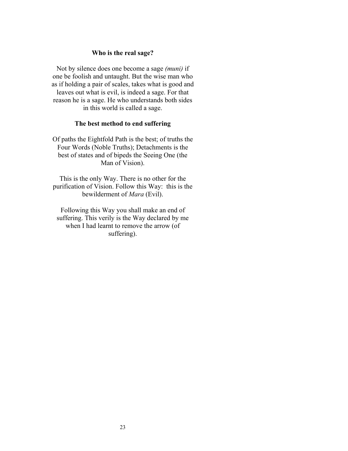#### **Who is the real sage?**

Not by silence does one become a sage *(muni)* if one be foolish and untaught. But the wise man who as if holding a pair of scales, takes what is good and leaves out what is evil, is indeed a sage. For that reason he is a sage. He who understands both sides in this world is called a sage.

#### **The best method to end suffering**

Of paths the Eightfold Path is the best; of truths the Four Words (Noble Truths); Detachments is the best of states and of bipeds the Seeing One (the Man of Vision).

This is the only Way. There is no other for the purification of Vision. Follow this Way: this is the bewilderment of *Mara* (Evil).

Following this Way you shall make an end of suffering. This verily is the Way declared by me when I had learnt to remove the arrow (of suffering).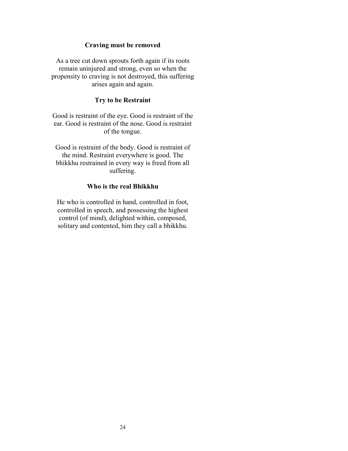#### **Craving must be removed**

As a tree cut down sprouts forth again if its roots remain uninjured and strong, even so when the propensity to craving is not destroyed, this suffering arises again and again.

#### **Try to be Restraint**

Good is restraint of the eye. Good is restraint of the ear. Good is restraint of the nose. Good is restraint of the tongue.

Good is restraint of the body. Good is restraint of the mind. Restraint everywhere is good. The bhikkhu restrained in every way is freed from all suffering.

#### **Who is the real Bhikkhu**

He who is controlled in hand, controlled in foot, controlled in speech, and possessing the highest control (of mind), delighted within, composed, solitary and contented, him they call a bhikkhu.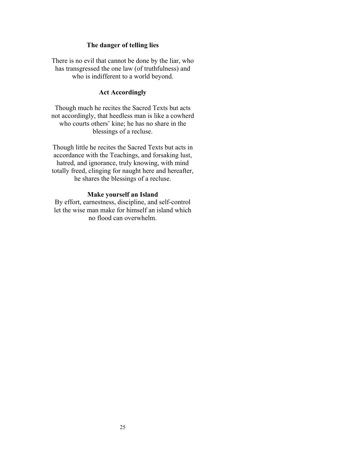#### **The danger of telling lies**

There is no evil that cannot be done by the liar, who has transgressed the one law (of truthfulness) and who is indifferent to a world beyond.

#### **Act Accordingly**

Though much he recites the Sacred Texts but acts not accordingly, that heedless man is like a cowherd who courts others' kine; he has no share in the blessings of a recluse.

Though little he recites the Sacred Texts but acts in accordance with the Teachings, and forsaking lust, hatred, and ignorance, truly knowing, with mind totally freed, clinging for naught here and hereafter, he shares the blessings of a recluse.

#### **Make yourself an Island**

By effort, earnestness, discipline, and self-control let the wise man make for himself an island which no flood can overwhelm.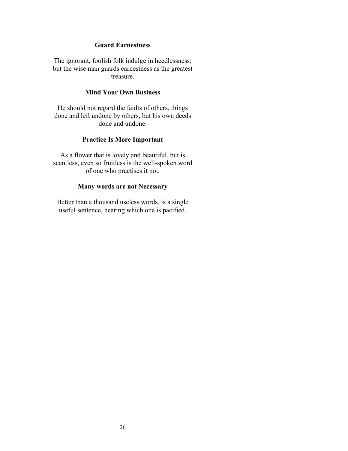## **Guard Earnestness**

The ignorant, foolish folk indulge in heedlessness; but the wise man guards earnestness as the greatest treasure.

#### **Mind Your Own Business**

He should not regard the faults of others, things done and left undone by others, but his own deeds done and undone.

#### **Practice Is More Important**

As a flower that is lovely and beautiful, but is scentless, even so fruitless is the well-spoken word of one who practises it not.

#### **Many words are not Necessary**

Better than a thousand useless words, is a single useful sentence, hearing which one is pacified.